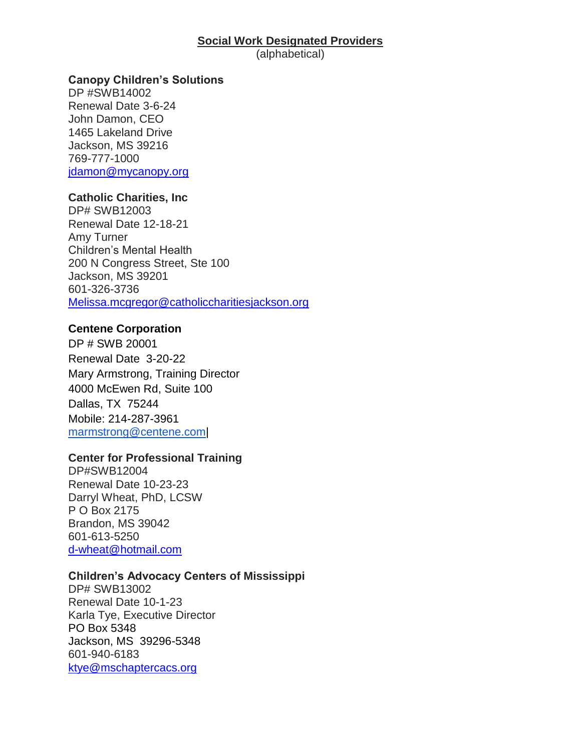# **Social Work Designated Providers**

(alphabetical)

# **Canopy Children's Solutions**

DP #SWB14002 Renewal Date 3-6-24 John Damon, CEO 1465 Lakeland Drive Jackson, MS 39216 769-777-1000 [jdamon@mycanopy.org](about:blank)

# **Catholic Charities, Inc**

DP# SWB12003 Renewal Date 12-18-21 Amy Turner Children's Mental Health 200 N Congress Street, Ste 100 Jackson, MS 39201 601-326-3736 [Melissa.mcgregor@catholiccharitiesjackson.org](about:blank)

# **Centene Corporation**

DP # SWB 20001 Renewal Date 3-20-22 Mary Armstrong, Training Director 4000 McEwen Rd, Suite 100 Dallas, TX 75244 Mobile: 214-287-3961 [marmstrong@centene.com|](about:blank)

#### **Center for Professional Training**

DP#SWB12004 Renewal Date 10-23-23 Darryl Wheat, PhD, LCSW P O Box 2175 Brandon, MS 39042 601-613-5250 [d-wheat@hotmail.com](about:blank)

#### **Children's Advocacy Centers of Mississippi**

DP# SWB13002 Renewal Date 10-1-23 Karla Tye, Executive Director PO Box 5348 Jackson, MS 39296-5348 601-940-6183 [ktye@mschaptercacs.org](about:blank)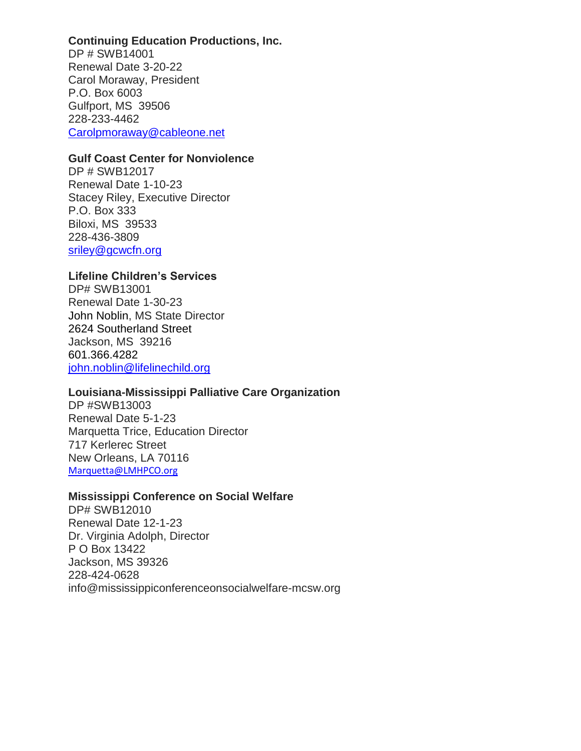# **Continuing Education Productions, Inc.**

DP # SWB14001 Renewal Date 3-20-22 Carol Moraway, President P.O. Box 6003 Gulfport, MS 39506 228-233-4462 [Carolpmoraway@cableone.net](about:blank)

#### **Gulf Coast Center for Nonviolence**

DP # SWB12017 Renewal Date 1-10-23 Stacey Riley, Executive Director P.O. Box 333 Biloxi, MS 39533 228-436-3809 [sriley@gcwcfn.org](about:blank)

# **Lifeline Children's Services**

DP# SWB13001 Renewal Date 1-30-23 John Noblin, MS State Director 2624 Southerland Street Jackson, MS 39216 601.366.4282 [john.noblin@lifelinechild.org](mailto:john.noblin@lifelinechild.org)

#### **Louisiana-Mississippi Palliative Care Organization**

DP #SWB13003 Renewal Date 5-1-23 Marquetta Trice, Education Director 717 Kerlerec Street New Orleans, LA 70116 [Marquetta@LMHPCO.org](mailto:Marquetta@LMHPCO.org)

#### **Mississippi Conference on Social Welfare**

DP# SWB12010 Renewal Date 12-1-23 Dr. Virginia Adolph, Director P O Box 13422 Jackson, MS 39326 228-424-0628 info@mississippiconferenceonsocialwelfare-mcsw.org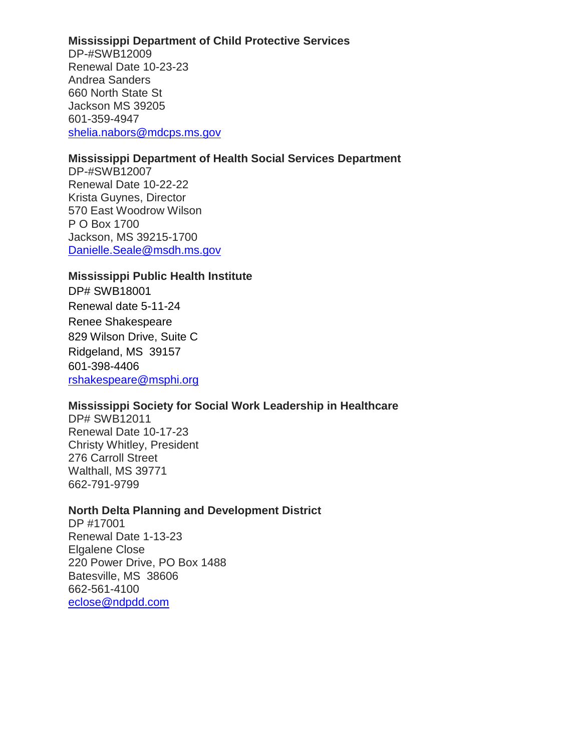#### **Mississippi Department of Child Protective Services**

DP-#SWB12009 Renewal Date 10-23-23 Andrea Sanders 660 North State St Jackson MS 39205 601-359-4947 [shelia.nabors@mdcps.ms.gov](about:blank)

# **Mississippi Department of Health Social Services Department**

DP-#SWB12007 Renewal Date 10-22-22 Krista Guynes, Director 570 East Woodrow Wilson P O Box 1700 Jackson, MS 39215-1700 [Danielle.Seale@msdh.ms.gov](about:blank)

#### **Mississippi Public Health Institute**

DP# SWB18001 Renewal date 5-11-24 Renee Shakespeare 829 Wilson Drive, Suite C Ridgeland, MS 39157 601-398-4406 [rshakespeare@msphi.org](mailto:rshakespeare@msphi.org)

#### **Mississippi Society for Social Work Leadership in Healthcare**

DP# SWB12011 Renewal Date 10-17-23 Christy Whitley, President 276 Carroll Street Walthall, MS 39771 662-791-9799

# **North Delta Planning and Development District**

DP #17001 Renewal Date 1-13-23 Elgalene Close 220 Power Drive, PO Box 1488 Batesville, MS 38606 662-561-4100 [eclose@ndpdd.com](about:blank)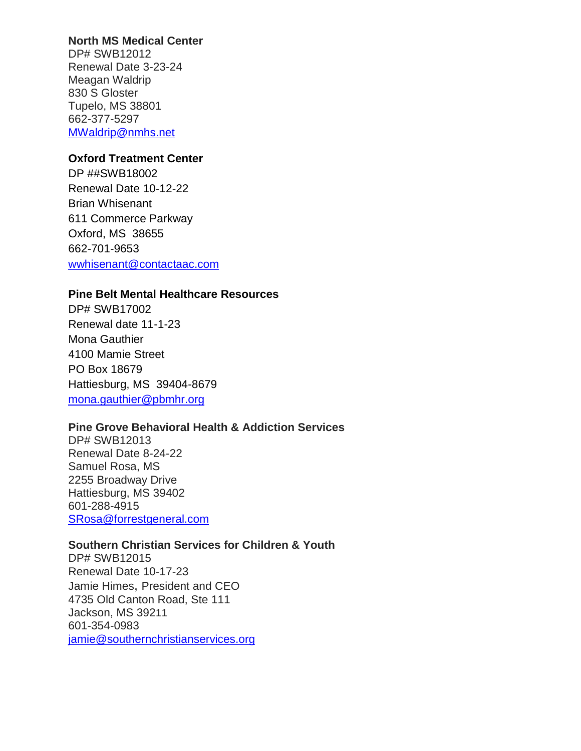# **North MS Medical Center**

DP# SWB12012 Renewal Date 3-23-24 Meagan Waldrip 830 S Gloster Tupelo, MS 38801 662-377-5297 [MWaldrip@nmhs.net](mailto:MWaldrip@nmhs.net)

# **Oxford Treatment Center**

DP ##SWB18002 Renewal Date 10-12-22 Brian Whisenant 611 Commerce Parkway Oxford, MS 38655 662-701-9653 [wwhisenant@contactaac.com](about:blank)

# **Pine Belt Mental Healthcare Resources**

DP# SWB17002 Renewal date 11-1-23 Mona Gauthier 4100 Mamie Street PO Box 18679 Hattiesburg, MS 39404-8679 [mona.gauthier@pbmhr.org](mailto:mona.gauthier@pbmhr.org)

# **Pine Grove Behavioral Health & Addiction Services**

DP# SWB12013 Renewal Date 8-24-22 Samuel Rosa, MS 2255 Broadway Drive Hattiesburg, MS 39402 601-288-4915 [SRosa@forrestgeneral.com](mailto:SRosa@forrestgeneral.com)

# **Southern Christian Services for Children & Youth**

DP# SWB12015 Renewal Date 10-17-23 Jamie Himes, President and CEO 4735 Old Canton Road, Ste 111 Jackson, MS 39211 601-354-0983 jamie@southernchristianservices.org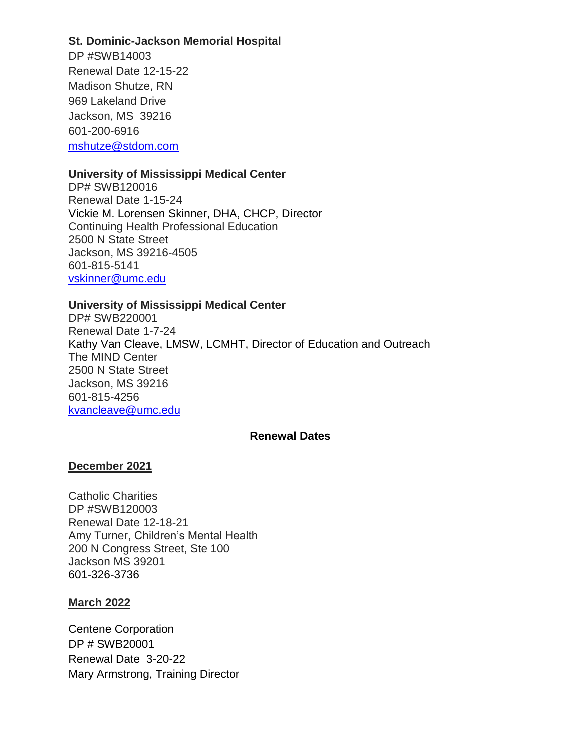#### **St. Dominic-Jackson Memorial Hospital**

DP #SWB14003 Renewal Date 12-15-22 Madison Shutze, RN 969 Lakeland Drive Jackson, MS 39216 601-200-6916 [mshutze@stdom.com](about:blank)

# **University of Mississippi Medical Center**

DP# SWB120016 Renewal Date 1-15-24 Vickie M. Lorensen Skinner, DHA, CHCP, Director Continuing Health Professional Education 2500 N State Street Jackson, MS 39216-4505 601-815-5141 [vskinner@umc.edu](mailto:vskinner@umc.edu)

# **University of Mississippi Medical Center**

DP# SWB220001 Renewal Date 1-7-24 Kathy Van Cleave, LMSW, LCMHT, Director of Education and Outreach The MIND Center 2500 N State Street Jackson, MS 39216 601-815-4256 [kvancleave@umc.edu](mailto:kvancleave@umc.edu)

#### **Renewal Dates**

# **December 2021**

Catholic Charities DP #SWB120003 Renewal Date 12-18-21 Amy Turner, Children's Mental Health 200 N Congress Street, Ste 100 Jackson MS 39201 [601-326-3736](about:blank)

#### **March 2022**

Centene Corporation DP # SWB20001 Renewal Date 3-20-22 Mary Armstrong, Training Director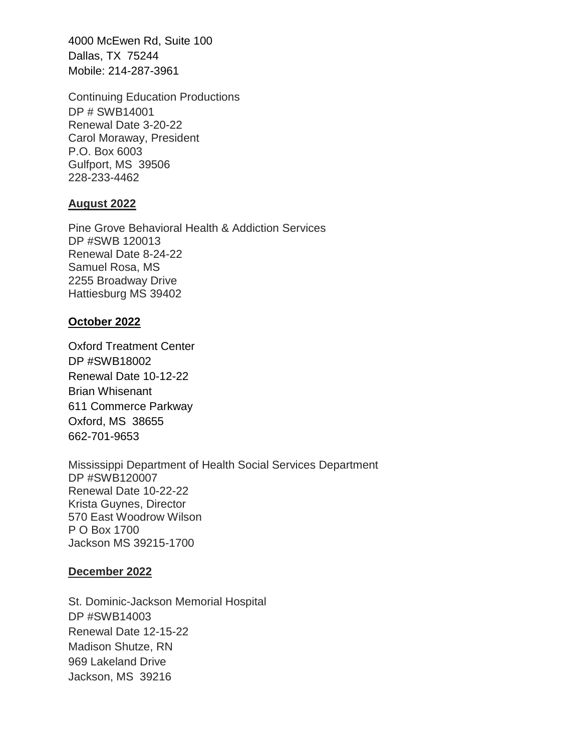4000 McEwen Rd, Suite 100 Dallas, TX 75244 Mobile: 214-287-3961

Continuing Education Productions DP # SWB14001 Renewal Date 3-20-22 Carol Moraway, President P.O. Box 6003 Gulfport, MS 39506 228-233-4462

#### **August 2022**

Pine Grove Behavioral Health & Addiction Services DP #SWB 120013 Renewal Date 8-24-22 Samuel Rosa, MS 2255 Broadway Drive Hattiesburg MS 39402

# **October 2022**

Oxford Treatment Center DP #SWB18002 Renewal Date 10-12-22 Brian Whisenant 611 Commerce Parkway Oxford, MS 38655 662-701-9653

Mississippi Department of Health Social Services Department DP #SWB120007 Renewal Date 10-22-22 Krista Guynes, Director 570 East Woodrow Wilson P O Box 1700 Jackson MS 39215-1700

#### **December 2022**

St. Dominic-Jackson Memorial Hospital DP #SWB14003 Renewal Date 12-15-22 Madison Shutze, RN 969 Lakeland Drive Jackson, MS 39216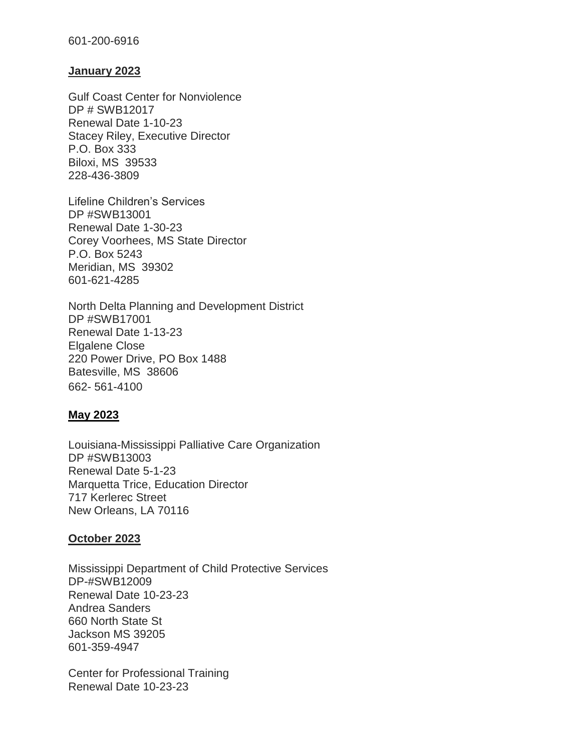#### 601-200-6916

#### **January 2023**

Gulf Coast Center for Nonviolence DP # SWB12017 Renewal Date 1-10-23 Stacey Riley, Executive Director P.O. Box 333 Biloxi, MS 39533 228-436-3809

Lifeline Children's Services DP #SWB13001 Renewal Date 1-30-23 Corey Voorhees, MS State Director P.O. Box 5243 Meridian, MS 39302 601-621-4285

North Delta Planning and Development District DP #SWB17001 Renewal Date 1-13-23 Elgalene Close 220 Power Drive, PO Box 1488 Batesville, MS 38606 662- 561-4100

#### **May 2023**

Louisiana-Mississippi Palliative Care Organization DP #SWB13003 Renewal Date 5-1-23 Marquetta Trice, Education Director 717 Kerlerec Street New Orleans, LA 70116

#### **October 2023**

Mississippi Department of Child Protective Services DP-#SWB12009 Renewal Date 10-23-23 Andrea Sanders 660 North State St Jackson MS 39205 601-359-4947

Center for Professional Training Renewal Date 10-23-23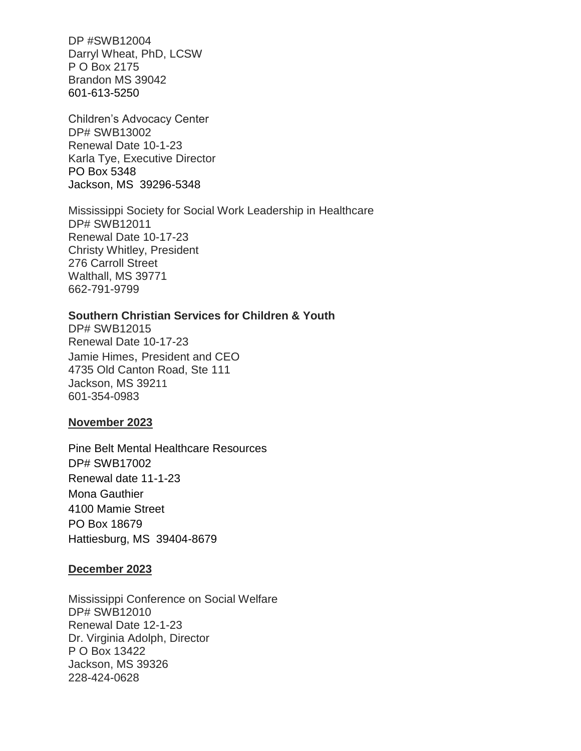DP #SWB12004 Darryl Wheat, PhD, LCSW P O Box 2175 Brandon MS 39042 [601-613-5250](about:blank)

Children's Advocacy Center DP# SWB13002 Renewal Date 10-1-23 Karla Tye, Executive Director PO Box 5348 Jackson, MS 39296-5348

Mississippi Society for Social Work Leadership in Healthcare DP# SWB12011 Renewal Date 10-17-23 Christy Whitley, President 276 Carroll Street Walthall, MS 39771 662-791-9799

#### **Southern Christian Services for Children & Youth**

DP# SWB12015 Renewal Date 10-17-23 Jamie Himes, President and CEO 4735 Old Canton Road, Ste 111 Jackson, MS 39211 601-354-0983

#### **November 2023**

Pine Belt Mental Healthcare Resources DP# SWB17002 Renewal date 11-1-23 Mona Gauthier 4100 Mamie Street PO Box 18679 Hattiesburg, MS 39404-8679

#### **December 2023**

Mississippi Conference on Social Welfare DP# SWB12010 Renewal Date 12-1-23 Dr. Virginia Adolph, Director P O Box 13422 Jackson, MS 39326 228-424-0628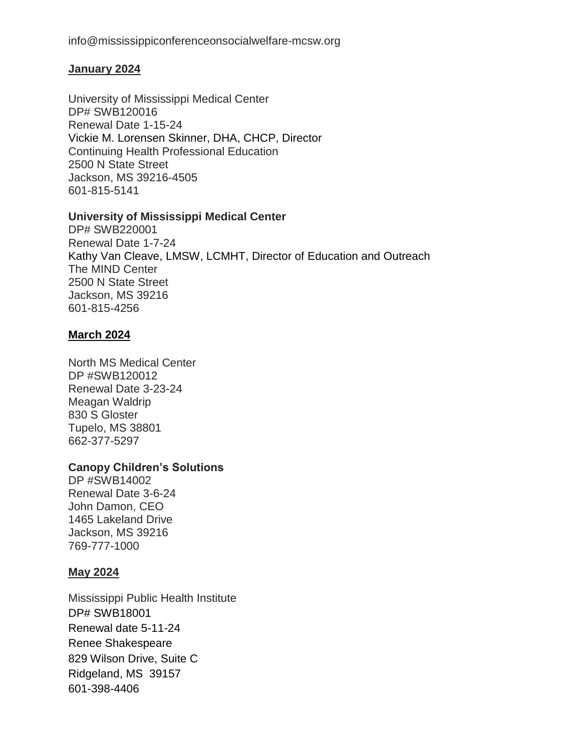# **January 2024**

University of Mississippi Medical Center DP# SWB120016 Renewal Date 1-15-24 Vickie M. Lorensen Skinner, DHA, CHCP, Director Continuing Health Professional Education 2500 N State Street Jackson, MS 39216-4505 601-815-5141

# **University of Mississippi Medical Center**

DP# SWB220001 Renewal Date 1-7-24 Kathy Van Cleave, LMSW, LCMHT, Director of Education and Outreach The MIND Center 2500 N State Street Jackson, MS 39216 601-815-4256

# **March 2024**

North MS Medical Center DP #SWB120012 Renewal Date 3-23-24 Meagan Waldrip 830 S Gloster Tupelo, MS 38801 662-377-5297

# **Canopy Children's Solutions**

DP #SWB14002 Renewal Date 3-6-24 John Damon, CEO 1465 Lakeland Drive Jackson, MS 39216 769-777-1000

# **May 2024**

Mississippi Public Health Institute DP# SWB18001 Renewal date 5-11-24 Renee Shakespeare 829 Wilson Drive, Suite C Ridgeland, MS 39157 601-398-4406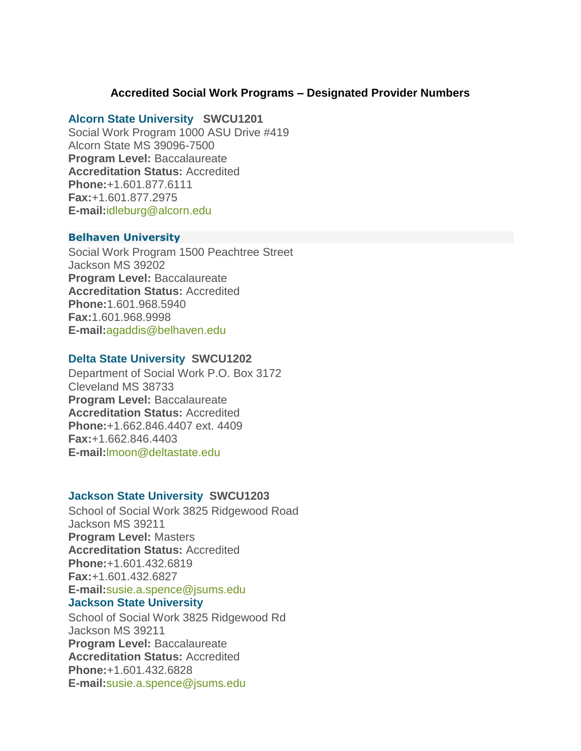# **Accredited Social Work Programs – Designated Provider Numbers**

#### **[Alcorn State University](about:blank) SWCU1201**

Social Work Program 1000 ASU Drive #419 Alcorn State MS 39096-7500 **Program Level:** Baccalaureate **Accreditation Status:** Accredited **Phone:**+1.601.877.6111 **Fax:**+1.601.877.2975 **E-mail:**[idleburg@alcorn.edu](about:blank)

#### **Belhaven [University](about:blank)**

Social Work Program 1500 Peachtree Street Jackson MS 39202 **Program Level:** Baccalaureate **Accreditation Status:** Accredited **Phone:**1.601.968.5940 **Fax:**1.601.968.9998 **E-mail:**[agaddis@belhaven.edu](about:blank)

#### **[Delta State University](about:blank) SWCU1202**

Department of Social Work P.O. Box 3172 Cleveland MS 38733 **Program Level:** Baccalaureate **Accreditation Status:** Accredited **Phone:**+1.662.846.4407 ext. 4409 **Fax:**+1.662.846.4403 **E-mail:**[lmoon@deltastate.edu](about:blank)

#### **[Jackson State University](about:blank) SWCU1203**

School of Social Work 3825 Ridgewood Road Jackson MS 39211 **Program Level:** Masters **Accreditation Status:** Accredited **Phone:**+1.601.432.6819 **Fax:**+1.601.432.6827 **E-mail:**[susie.a.spence@jsums.edu](about:blank) **[Jackson State University](about:blank)** School of Social Work 3825 Ridgewood Rd Jackson MS 39211 **Program Level:** Baccalaureate **Accreditation Status:** Accredited **Phone:**+1.601.432.6828

**E-mail:**[susie.a.spence@jsums.edu](about:blank)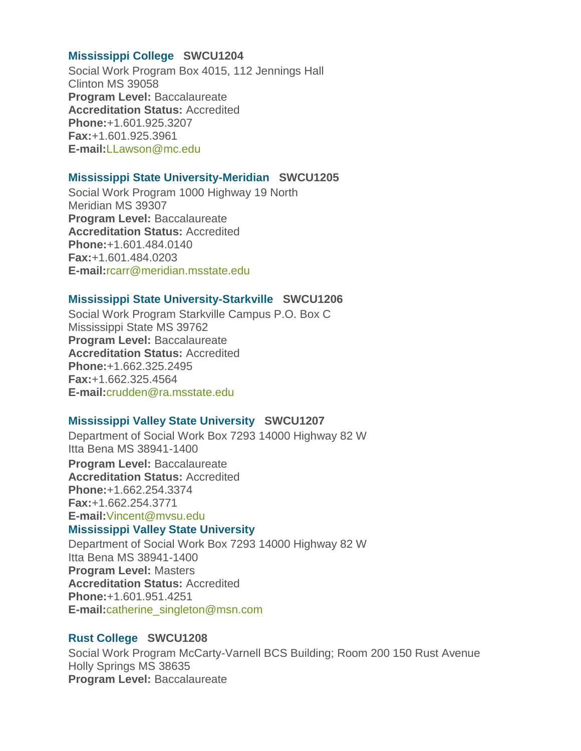# **[Mississippi College](about:blank) SWCU1204**

Social Work Program Box 4015, 112 Jennings Hall Clinton MS 39058 **Program Level:** Baccalaureate **Accreditation Status:** Accredited **Phone:**+1.601.925.3207 **Fax:**+1.601.925.3961 **E-mail:**[LLawson@mc.edu](about:blank)

#### **[Mississippi State University-Meridian](about:blank) SWCU1205**

Social Work Program 1000 Highway 19 North Meridian MS 39307 **Program Level:** Baccalaureate **Accreditation Status:** Accredited **Phone:**+1.601.484.0140 **Fax:**+1.601.484.0203 **E-mail:**[rcarr@meridian.msstate.edu](about:blank)

# **[Mississippi State University-Starkville](about:blank) SWCU1206**

Social Work Program Starkville Campus P.O. Box C Mississippi State MS 39762 **Program Level:** Baccalaureate **Accreditation Status:** Accredited **Phone:**+1.662.325.2495 **Fax:**+1.662.325.4564 **E-mail:**[crudden@ra.msstate.edu](about:blank)

# **[Mississippi Valley State University](about:blank) SWCU1207**

Department of Social Work Box 7293 14000 Highway 82 W Itta Bena MS 38941-1400

**Program Level:** Baccalaureate **Accreditation Status:** Accredited **Phone:**+1.662.254.3374 **Fax:**+1.662.254.3771 **E-mail:**[Vincent@mvsu.edu](about:blank)

#### **[Mississippi Valley State University](about:blank)**

Department of Social Work Box 7293 14000 Highway 82 W Itta Bena MS 38941-1400 **Program Level:** Masters **Accreditation Status:** Accredited **Phone:**+1.601.951.4251 **E-mail:**[catherine\\_singleton@msn.com](about:blank)

#### **[Rust College](about:blank) SWCU1208**

Social Work Program McCarty-Varnell BCS Building; Room 200 150 Rust Avenue Holly Springs MS 38635 **Program Level:** Baccalaureate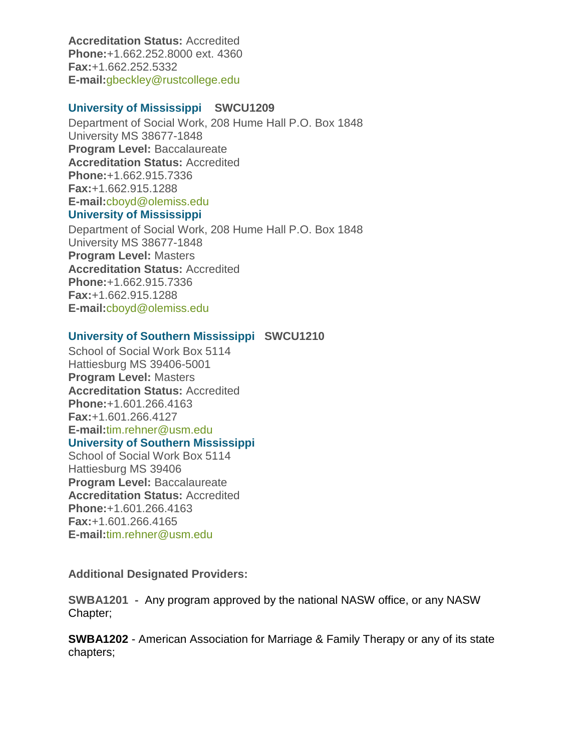**Accreditation Status:** Accredited **Phone:**+1.662.252.8000 ext. 4360 **Fax:**+1.662.252.5332 **E-mail:**[gbeckley@rustcollege.edu](about:blank)

#### **[University of Mississippi](about:blank) SWCU1209**

Department of Social Work, 208 Hume Hall P.O. Box 1848 University MS 38677-1848 **Program Level:** Baccalaureate **Accreditation Status:** Accredited **Phone:**+1.662.915.7336 **Fax:**+1.662.915.1288 **E-mail:**[cboyd@olemiss.edu](about:blank) **[University of Mississippi](about:blank)**

Department of Social Work, 208 Hume Hall P.O. Box 1848 University MS 38677-1848 **Program Level:** Masters **Accreditation Status:** Accredited **Phone:**+1.662.915.7336 **Fax:**+1.662.915.1288 **E-mail:**[cboyd@olemiss.edu](about:blank)

# **[University of Southern Mississippi](about:blank) SWCU1210**

School of Social Work Box 5114 Hattiesburg MS 39406-5001 **Program Level:** Masters **Accreditation Status:** Accredited **Phone:**+1.601.266.4163 **Fax:**+1.601.266.4127 **E-mail:**[tim.rehner@usm.edu](about:blank) **[University of Southern Mississippi](about:blank)**

# School of Social Work Box 5114 Hattiesburg MS 39406 **Program Level:** Baccalaureate **Accreditation Status:** Accredited **Phone:**+1.601.266.4163

**Fax:**+1.601.266.4165 **E-mail:**[tim.rehner@usm.edu](about:blank)

**Additional Designated Providers:**

**SWBA1201 -** Any program approved by the national NASW office, or any NASW Chapter;

**SWBA1202** - American Association for Marriage & Family Therapy or any of its state chapters;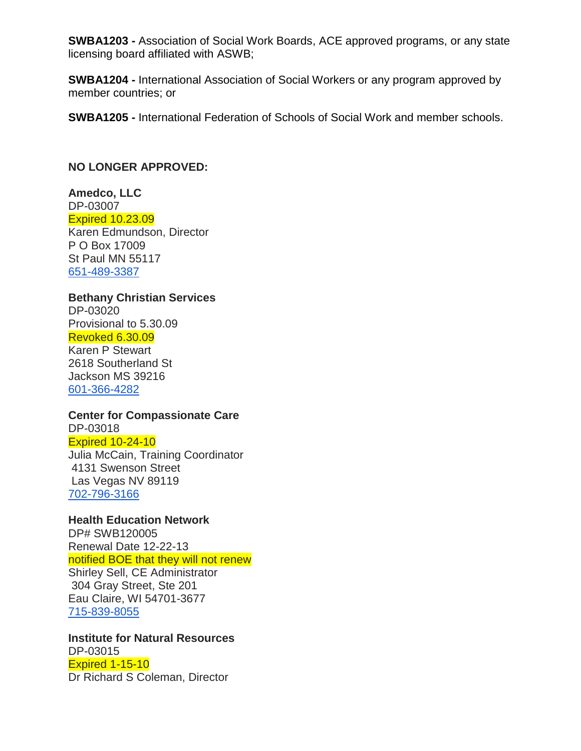**SWBA1203 -** Association of Social Work Boards, ACE approved programs, or any state licensing board affiliated with ASWB;

**SWBA1204 -** International Association of Social Workers or any program approved by member countries; or

**SWBA1205 -** International Federation of Schools of Social Work and member schools.

# **NO LONGER APPROVED:**

**Amedco, LLC** DP-03007 Expired 10.23.09 Karen Edmundson, Director P O Box 17009 St Paul MN 55117 [651-489-3387](about:blank)

# **Bethany Christian Services**

DP-03020 Provisional to 5.30.09 Revoked 6.30.09

Karen P Stewart 2618 Southerland St Jackson MS 39216 [601-366-4282](about:blank)

# **Center for Compassionate Care**

DP-03018 Expired 10-24-10 Julia McCain, Training Coordinator 4131 Swenson Street

Las Vegas NV 89119 [702-796-3166](about:blank)

# **Health Education Network**

DP# SWB120005 Renewal Date 12-22-13 notified BOE that they will not renew Shirley Sell, CE Administrator 304 Gray Street, Ste 201 Eau Claire, WI 54701-3677 [715-839-8055](about:blank)

# **Institute for Natural Resources**

DP-03015 Expired 1-15-10 Dr Richard S Coleman, Director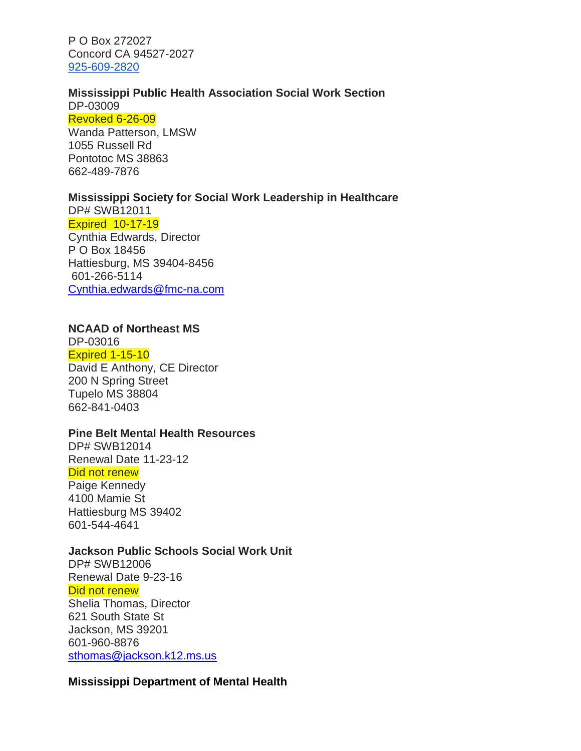P O Box 272027 Concord CA 94527-2027 [925-609-2820](about:blank)

#### **Mississippi Public Health Association Social Work Section**

DP-03009 Revoked 6-26-09

Wanda Patterson, LMSW 1055 Russell Rd Pontotoc MS 38863 662-489-7876

# **Mississippi Society for Social Work Leadership in Healthcare**

DP# SWB12011 Expired 10-17-19

Cynthia Edwards, Director P O Box 18456 Hattiesburg, MS 39404-8456 601-266-5114 [Cynthia.edwards@fmc-na.com](about:blank)

# **NCAAD of Northeast MS**

DP-03016 Expired 1-15-10 David E Anthony, CE Director 200 N Spring Street Tupelo MS 38804 662-841-0403

# **Pine Belt Mental Health Resources**

DP# SWB12014 Renewal Date 11-23-12 Did not renew Paige Kennedy

4100 Mamie St Hattiesburg MS 39402 601-544-4641

# **Jackson Public Schools Social Work Unit**

DP# SWB12006 Renewal Date 9-23-16 Did not renew Shelia Thomas, Director 621 South State St Jackson, MS 39201 601-960-8876 [sthomas@jackson.k12.ms.us](about:blank)

# **Mississippi Department of Mental Health**